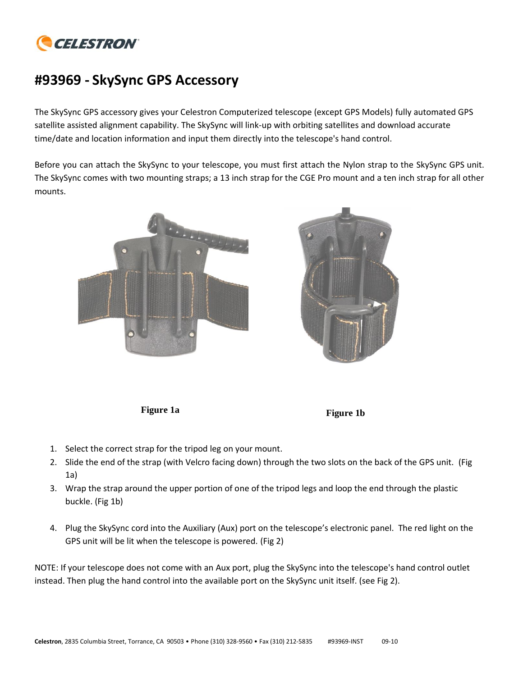

## **#93969 - SkySync GPS Accessory**

The SkySync GPS accessory gives your Celestron Computerized telescope (except GPS Models) fully automated GPS satellite assisted alignment capability. The SkySync will link-up with orbiting satellites and download accurate time/date and location information and input them directly into the telescope's hand control.

Before you can attach the SkySync to your telescope, you must first attach the Nylon strap to the SkySync GPS unit. The SkySync comes with two mounting straps; a 13 inch strap for the CGE Pro mount and a ten inch strap for all other mounts.







- 1. Select the correct strap for the tripod leg on your mount.
- 2. Slide the end of the strap (with Velcro facing down) through the two slots on the back of the GPS unit. (Fig 1a)
- 3. Wrap the strap around the upper portion of one of the tripod legs and loop the end through the plastic buckle. (Fig 1b)
- 4. Plug the SkySync cord into the Auxiliary (Aux) port on the telescope's electronic panel. The red light on the GPS unit will be lit when the telescope is powered. (Fig 2)

NOTE: If your telescope does not come with an Aux port, plug the SkySync into the telescope's hand control outlet instead. Then plug the hand control into the available port on the SkySync unit itself. (see Fig 2).